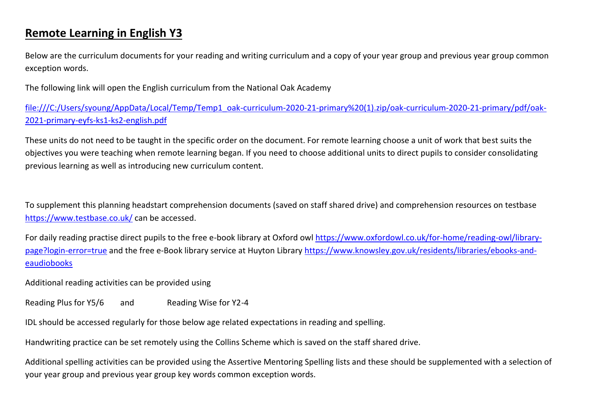## **Remote Learning in English Y3**

Below are the curriculum documents for your reading and writing curriculum and a copy of your year group and previous year group common exception words.

The following link will open the English curriculum from the National Oak Academy

[file:///C:/Users/syoung/AppData/Local/Temp/Temp1\\_oak-curriculum-2020-21-primary%20\(1\).zip/oak-curriculum-2020-21-primary/pdf/oak-](file:///C:/Users/syoung/AppData/Local/Temp/Temp1_oak-curriculum-2020-21-primary%20(1).zip/oak-curriculum-2020-21-primary/pdf/oak-2021-primary-eyfs-ks1-ks2-english.pdf)[2021-primary-eyfs-ks1-ks2-english.pdf](file:///C:/Users/syoung/AppData/Local/Temp/Temp1_oak-curriculum-2020-21-primary%20(1).zip/oak-curriculum-2020-21-primary/pdf/oak-2021-primary-eyfs-ks1-ks2-english.pdf)

These units do not need to be taught in the specific order on the document. For remote learning choose a unit of work that best suits the objectives you were teaching when remote learning began. If you need to choose additional units to direct pupils to consider consolidating previous learning as well as introducing new curriculum content.

To supplement this planning headstart comprehension documents (saved on staff shared drive) and comprehension resources on testbase <https://www.testbase.co.uk/> can be accessed.

For daily reading practise direct pupils to the free e-book library at Oxford owl [https://www.oxfordowl.co.uk/for-home/reading-owl/library](https://www.oxfordowl.co.uk/for-home/reading-owl/library-page?login-error=true)[page?login-error=true](https://www.oxfordowl.co.uk/for-home/reading-owl/library-page?login-error=true) and the free e-Book library service at Huyton Library [https://www.knowsley.gov.uk/residents/libraries/ebooks-and](https://www.knowsley.gov.uk/residents/libraries/ebooks-and-eaudiobooks)[eaudiobooks](https://www.knowsley.gov.uk/residents/libraries/ebooks-and-eaudiobooks)

Additional reading activities can be provided using

Reading Plus for Y5/6 and Reading Wise for Y2-4

IDL should be accessed regularly for those below age related expectations in reading and spelling.

Handwriting practice can be set remotely using the Collins Scheme which is saved on the staff shared drive.

Additional spelling activities can be provided using the Assertive Mentoring Spelling lists and these should be supplemented with a selection of your year group and previous year group key words common exception words.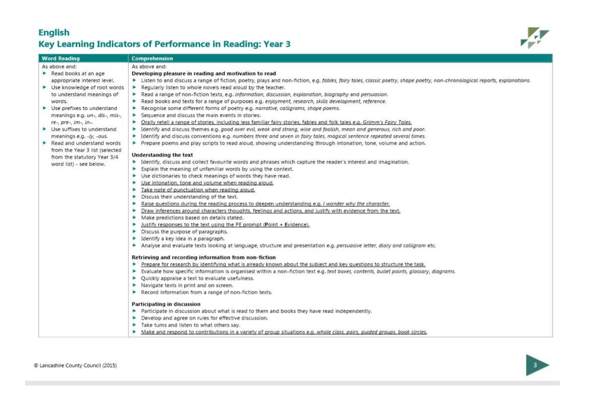## **English** Key Learning Indicators of Performance in Reading: Year 3



| <b>Word Reading</b>                              | Comprehension                                                                                                                                                               |
|--------------------------------------------------|-----------------------------------------------------------------------------------------------------------------------------------------------------------------------------|
| As above and:                                    | As above and:                                                                                                                                                               |
| $\blacktriangleright$ Read books at an age       | Developing pleasure in reading and motivation to read                                                                                                                       |
| appropriate interest level.                      | > Listen to and discuss a range of fiction, poetry, plays and non-fiction, e.g. fables, fairy tales, classic poetry, shape poetry, non-chronological reports, explanations. |
| • Use knowledge of root words                    | Requiarly listen to whole novels read aloud by the teacher.                                                                                                                 |
| to understand meanings of                        | Read a range of non-fiction texts, e.g. information, discussion, explanation, biography and persuasion.                                                                     |
| words.                                           | Read books and texts for a range of purposes e.g. enjoyment, research, skills development, reference.                                                                       |
| • Use prefixes to understand                     | Recognise some different forms of poetry e.g. narrative, calligrams, shape poems.                                                                                           |
| meanings e.g. un-, dis-, mis-,                   | $\blacktriangleright$ Sequence and discuss the main events in stories.                                                                                                      |
| $re$ -, $pre$ -, $im$ -, $in$ -.                 | • Orally retell a range of stories, including less familiar fairy stories, fables and folk tales e.g. Grimm's Fairy Tales.                                                  |
| $\blacktriangleright$ Use suffixes to understand | > Identify and discuss themes e.g. good over evil, weak and strong, wise and foolish, mean and generous, rich and poor.                                                     |
| meanings e.g. -ly, -ous.                         | > Identify and discuss conventions e.g. numbers three and seven in fairy tales, magical sentence repeated several times.                                                    |
| $\blacktriangleright$ Read and understand words  | Prepare poems and play scripts to read aloud, showing understanding through intonation, tone, volume and action.                                                            |
| from the Year 3 list (selected                   |                                                                                                                                                                             |
| from the statutory Year 3/4                      | <b>Understanding the text</b>                                                                                                                                               |
| word list) - see below.                          | > Identify, discuss and collect favourite words and phrases which capture the reader's interest and imagination.                                                            |
|                                                  | Explain the meaning of unfamiliar words by using the context.                                                                                                               |
|                                                  | > Use dictionaries to check meanings of words they have read.                                                                                                               |
|                                                  | ▶ Use intonation, tone and volume when reading aloud.                                                                                                                       |
|                                                  | Take note of punctuation when reading aloud.                                                                                                                                |
|                                                  | $\blacktriangleright$ Discuss their understanding of the text.                                                                                                              |
|                                                  | Raise questions during the reading process to deepen understanding e.g. I wonder why the character.                                                                         |
|                                                  | > Draw inferences around characters thoughts, feelings and actions, and justify with evidence from the text.                                                                |
|                                                  | Make predictions based on details stated.                                                                                                                                   |
|                                                  | Justify responses to the text using the PE prompt (Point + Evidence).                                                                                                       |
|                                                  | Discuss the purpose of paragraphs.                                                                                                                                          |
|                                                  | • Identify a key idea in a paragraph.                                                                                                                                       |
|                                                  | Analyse and evaluate texts looking at language, structure and presentation e.g. persuasive letter, diary and calligram etc.                                                 |
|                                                  | Retrieving and recording information from non-fiction                                                                                                                       |
|                                                  | Prepare for research by identifying what is already known about the subject and key questions to structure the task.                                                        |
|                                                  | Evaluate how specific information is organised within a non-fiction text e.g. text boxes, contents, bullet points, glossary, diagrams.                                      |
|                                                  | ▶ Quickly appraise a text to evaluate usefulness.                                                                                                                           |
|                                                  | Navigate texts in print and on screen.                                                                                                                                      |
|                                                  | Record information from a range of non-fiction texts.                                                                                                                       |
|                                                  | Participating in discussion                                                                                                                                                 |
|                                                  | Participate in discussion about what is read to them and books they have read independently.                                                                                |
|                                                  | Develop and agree on rules for effective discussion.                                                                                                                        |
|                                                  | Take turns and listen to what others say.                                                                                                                                   |
|                                                  | Make and respond to contributions in a variety of group situations e.g. whole class, pairs, quided groups, book circles.                                                    |

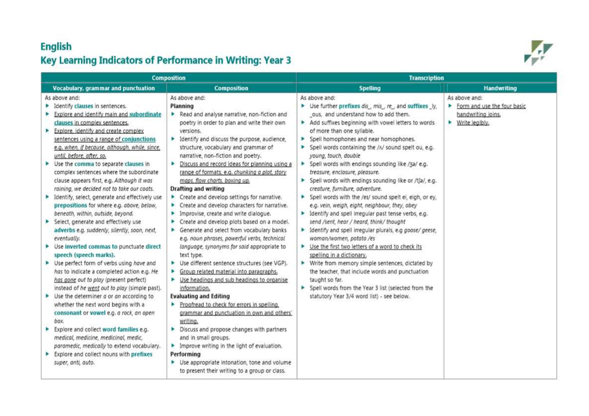## **English** Key Learning Indicators of Performance in Writing: Year 3



|                                                                                                                                                                                                                                                                                                                                                                                                                                                                                                                                                                                                                                                                                                                                                                                                                                                                                                                                                                                                                                                                                                                                                                                                                                                                                                                                      | <b>Composition</b>                                                                                                                                                                                                                                                                                                                                                                                                                                                                                                                                                                                                                                                                                                                                                                                                                                                                                                                                                                                                                                                                                                                                                                                                                                                                                                                                               | <b>Transcription</b>                                                                                                                                                                                                                                                                                                                                                                                                                                                                                                                                                                                                                                                                                                                                                                                                                                                                                                                                                                                                                                                                                                                                    |                                                                                        |  |
|--------------------------------------------------------------------------------------------------------------------------------------------------------------------------------------------------------------------------------------------------------------------------------------------------------------------------------------------------------------------------------------------------------------------------------------------------------------------------------------------------------------------------------------------------------------------------------------------------------------------------------------------------------------------------------------------------------------------------------------------------------------------------------------------------------------------------------------------------------------------------------------------------------------------------------------------------------------------------------------------------------------------------------------------------------------------------------------------------------------------------------------------------------------------------------------------------------------------------------------------------------------------------------------------------------------------------------------|------------------------------------------------------------------------------------------------------------------------------------------------------------------------------------------------------------------------------------------------------------------------------------------------------------------------------------------------------------------------------------------------------------------------------------------------------------------------------------------------------------------------------------------------------------------------------------------------------------------------------------------------------------------------------------------------------------------------------------------------------------------------------------------------------------------------------------------------------------------------------------------------------------------------------------------------------------------------------------------------------------------------------------------------------------------------------------------------------------------------------------------------------------------------------------------------------------------------------------------------------------------------------------------------------------------------------------------------------------------|---------------------------------------------------------------------------------------------------------------------------------------------------------------------------------------------------------------------------------------------------------------------------------------------------------------------------------------------------------------------------------------------------------------------------------------------------------------------------------------------------------------------------------------------------------------------------------------------------------------------------------------------------------------------------------------------------------------------------------------------------------------------------------------------------------------------------------------------------------------------------------------------------------------------------------------------------------------------------------------------------------------------------------------------------------------------------------------------------------------------------------------------------------|----------------------------------------------------------------------------------------|--|
| Vocabulary, grammar and punctuation                                                                                                                                                                                                                                                                                                                                                                                                                                                                                                                                                                                                                                                                                                                                                                                                                                                                                                                                                                                                                                                                                                                                                                                                                                                                                                  | <b>Composition</b>                                                                                                                                                                                                                                                                                                                                                                                                                                                                                                                                                                                                                                                                                                                                                                                                                                                                                                                                                                                                                                                                                                                                                                                                                                                                                                                                               | <b>Spelling</b>                                                                                                                                                                                                                                                                                                                                                                                                                                                                                                                                                                                                                                                                                                                                                                                                                                                                                                                                                                                                                                                                                                                                         | <b>Handwriting</b>                                                                     |  |
| As above and:<br>Identify clauses in sentences.<br>Explore and identify main and subordinate<br>clauses in complex sentences.<br>Explore, identify and create complex<br>Þ<br>sentences using a range of conjunctions<br>e.g. when, if because, although, while, since,<br>until, before, after, so.<br>Use the comma to separate clauses in<br>complex sentences where the subordinate<br>clause appears first, e.g. Although it was<br>raining, we decided not to take our coats.<br>Identify, select, generate and effectively use<br>P.<br>prepositions for where e.g. above, below,<br>beneath, within, outside, beyond.<br>Select, generate and effectively use<br>adverbs e.g. suddenly, silently, soon, next,<br>eventually.<br>Use inverted commas to punctuate direct<br>speech (speech marks).<br>Use perfect form of verbs using have and<br>has to indicate a completed action e.g. He<br>has gone out to play (present perfect)<br>instead of he went out to play (simple past).<br>Use the determiner a or an according to<br>whether the next word begins with a<br>consonant or vowel e.g. a rock, an open<br>box.<br>Explore and collect word families e.g.<br>medical, medicine, medicinal, medic,<br>paramedic, medically to extend vocabulary.<br>Explore and collect nouns with prefixes<br>super, anti, auto. | As above and:<br>Planning<br>Read and analyse narrative, non-fiction and<br>poetry in order to plan and write their own<br>versions.<br>• Identify and discuss the purpose, audience,<br>structure, vocabulary and grammar of<br>narrative, non-fiction and poetry.<br>Discuss and record ideas for planning using a<br>range of formats, e.g. chunking a plot, story<br>maps, flow charts, boxing up.<br><b>Drafting and writing</b><br>$\blacktriangleright$ Create and develop settings for narrative.<br>▶ Create and develop characters for narrative.<br>Improvise, create and write dialogue.<br>Create and develop plots based on a model.<br>Generate and select from vocabulary banks<br>e.g. noun phrases, powerful verbs, technical<br>language, synonyms for said appropriate to<br>text type.<br>De different sentence structures (see VGP).<br>Group related material into paragraphs,<br>$\triangleright$ Use headings and sub headings to organise<br>information.<br><b>Evaluating and Editing</b><br>Proofread to check for errors in spelling.<br>grammar and punctuation in own and others'<br>writing.<br>Discuss and propose changes with partners<br>and in small groups.<br>Improve writing in the light of evaluation.<br>Performing<br>> Use appropriate intonation, tone and volume<br>to present their writing to a group or class. | As above and:<br>▶ Use further prefixes dis_, mis_ re_, and suffixes_ly,<br>ous, and understand how to add them.<br>Add suffixes beginning with vowel letters to words<br>of more than one syllable.<br>Spell homophones and near homophones.<br>Þ.<br>> Spell words containing the /n/ sound spelt ou, e.g.<br>young, touch, double<br>> Spell words with endings sounding like /3a/ e.g.<br>treasure, enclosure, pleasure.<br>> Spell words with endings sounding like or /tʃa/, e.g.<br>creature, furniture, adventure.<br>> Spell words with the /eɪ/ sound spelt ei, eigh, or ey,<br>e.g. vein, weigh, eight, neighbour, they, obey<br>Identify and spell irregular past tense verbs, e.g.<br>send /sent, hear / heard, think/ thought<br>• Identify and spell irregular plurals, e.g goose/ geese,<br>woman/women, potato /es<br>▶ Use the first two letters of a word to check its<br>spelling in a dictionary.<br>▶ Write from memory simple sentences, dictated by<br>the teacher, that include words and punctuation<br>taught so far.<br>> Spell words from the Year 3 list (selected from the<br>statutory Year 3/4 word list) - see below. | As above and:<br>Form and use the four basic<br>handwriting joins.<br>• Write legibly. |  |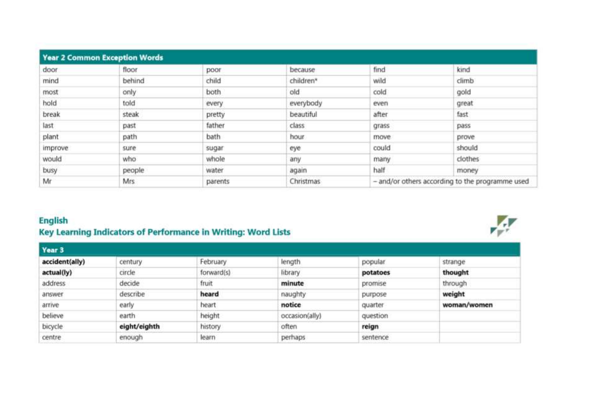| <b>Year 2 Common Exception Words</b> |        |         |           |                                                 |         |  |
|--------------------------------------|--------|---------|-----------|-------------------------------------------------|---------|--|
| door                                 | floor  | poor    | because   | find                                            | kind    |  |
| mind                                 | behind | child   | children* | wild                                            | climb   |  |
| most                                 | only   | both    | old       | cold                                            | gold    |  |
| hold                                 | told   | every   | everybody | even                                            | great   |  |
| break                                | steak  | pretty  | beautiful | after                                           | fast    |  |
| last                                 | past   | father  | class     | grass                                           | pass    |  |
| plant                                | path   | bath    | hour      | move                                            | prove-  |  |
| improve                              | sure   | sugar   | eye       | could                                           | should  |  |
| would                                | who    | whole   | any       | many                                            | clothes |  |
| busy                                 | people | water   | again     | half                                            | money   |  |
| Mr                                   | Mrs    | parents | Christmas | - and/or others according to the programme used |         |  |

## **English** Key Learning Indicators of Performance in Writing: Word Lists

| Year 3         |              |            |                |          |             |  |
|----------------|--------------|------------|----------------|----------|-------------|--|
| accident(ally) | century      | February   | length         | popular  | strange     |  |
| actual(ly)     | circle       | forward(s) | library        | potatoes | thought     |  |
| address        | decide       | fruit      | minute         | promise  | through     |  |
| answer         | describe     | heard      | naughty        | purpose  | weight      |  |
| arrive         | early        | heart      | notice         | quarter  | woman/women |  |
| believe        | earth        | height     | occasion(ally) | question |             |  |
| bicycle        | eight/eighth | history    | often          | reign    |             |  |
| centre         | enough       | learn      | perhaps        | sentence |             |  |